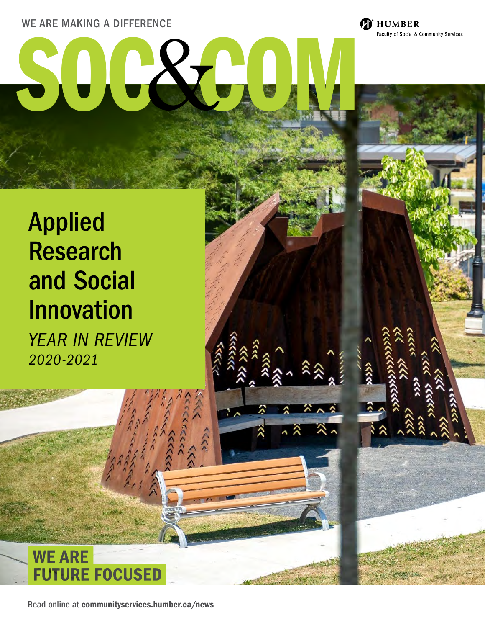#### WE ARE MAKING A DIFFERENCE

# WE ARE MAKING A DIFFERENCE<br>
SEARCH MAKING A DIFFERENCE

Faculty of Social & Community Services

# Applied Research and Social Innovation

*YEAR IN REVIEW 2020-2021*



Read online at [communityservices.humber.ca/news](http://communityservices.humber.ca/news)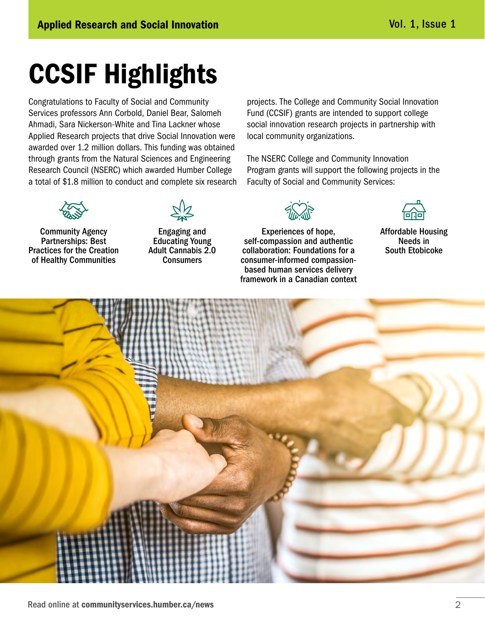# CCSIF Highlights

Congratulations to Faculty of Social and Community Services professors Ann Corbold, Daniel Bear, Salomeh Ahmadi, Sara Nickerson-White and Tina Lackner whose Applied Research projects that drive Social Innovation were awarded over 1.2 million dollars. This funding was obtained through grants from the Natural Sciences and Engineering Research Council (NSERC) which awarded Humber College a total of \$1.8 million to conduct and complete six research projects. The College and Community Social Innovation Fund (CCSIF) grants are intended to support college social innovation research projects in partnership with local community organizations.

The NSERC College and Community Innovation Program grants will support the following projects in the Faculty of Social and Community Services:



Community Agency Partnerships: Best Practices for the Creation of Healthy Communities



Engaging and Educating Young Adult Cannabis 2.0 **Consumers** 

Experiences of hope, self-compassion and authentic collaboration: Foundations for a consumer-informed compassionbased human services delivery framework in a Canadian context



Affordable Housing Needs in South Etobicoke

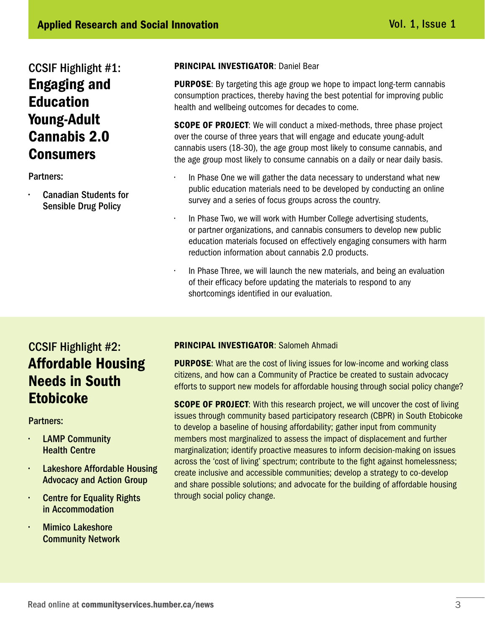## CCSIF Highlight #1: Engaging and **Education** Young-Adult Cannabis 2.0 Consumers

Partners:

• Canadian Students for Sensible Drug Policy

#### PRINCIPAL INVESTIGATOR: Daniel Bear

**PURPOSE:** By targeting this age group we hope to impact long-term cannabis consumption practices, thereby having the best potential for improving public health and wellbeing outcomes for decades to come.

**SCOPE OF PROJECT:** We will conduct a mixed-methods, three phase project over the course of three years that will engage and educate young-adult cannabis users (18-30), the age group most likely to consume cannabis, and the age group most likely to consume cannabis on a daily or near daily basis.

- In Phase One we will gather the data necessary to understand what new public education materials need to be developed by conducting an online survey and a series of focus groups across the country.
- In Phase Two, we will work with Humber College advertising students, or partner organizations, and cannabis consumers to develop new public education materials focused on effectively engaging consumers with harm reduction information about cannabis 2.0 products.
- In Phase Three, we will launch the new materials, and being an evaluation of their efficacy before updating the materials to respond to any shortcomings identified in our evaluation.

### CCSIF Highlight #2: Affordable Housing Needs in South **Etobicoke**

Partners:

- **LAMP Community** Health Centre
- **Lakeshore Affordable Housing** Advocacy and Action Group
- **Centre for Equality Rights** in Accommodation
- **Mimico Lakeshore** Community Network

PRINCIPAL INVESTIGATOR: Salomeh Ahmadi

**PURPOSE:** What are the cost of living issues for low-income and working class citizens, and how can a Community of Practice be created to sustain advocacy efforts to support new models for affordable housing through social policy change?

**SCOPE OF PROJECT:** With this research project, we will uncover the cost of living issues through community based participatory research (CBPR) in South Etobicoke to develop a baseline of housing affordability; gather input from community members most marginalized to assess the impact of displacement and further marginalization; identify proactive measures to inform decision-making on issues across the 'cost of living' spectrum; contribute to the fight against homelessness; create inclusive and accessible communities; develop a strategy to co-develop and share possible solutions; and advocate for the building of affordable housing through social policy change.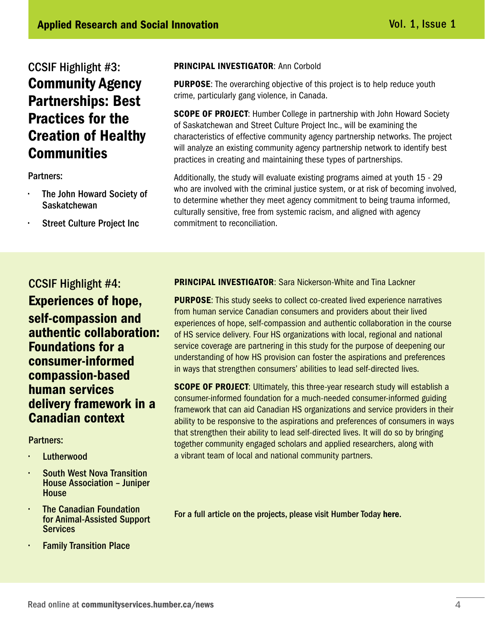## CCSIF Highlight #3: Community Agency Partnerships: Best Practices for the Creation of Healthy **Communities**

Partners:

- The John Howard Society of **Saskatchewan**
- Street Culture Project Inc

#### PRINCIPAL INVESTIGATOR: Ann Corbold

**PURPOSE:** The overarching objective of this project is to help reduce youth crime, particularly gang violence, in Canada.

**SCOPE OF PROJECT:** Humber College in partnership with John Howard Society of Saskatchewan and Street Culture Project Inc., will be examining the characteristics of effective community agency partnership networks. The project will analyze an existing community agency partnership network to identify best practices in creating and maintaining these types of partnerships.

Additionally, the study will evaluate existing programs aimed at youth 15 - 29 who are involved with the criminal justice system, or at risk of becoming involved, to determine whether they meet agency commitment to being trauma informed, culturally sensitive, free from systemic racism, and aligned with agency commitment to reconciliation.

#### CCSIF Highlight #4: Experiences of hope, self-compassion and authentic collaboration: Foundations for a consumer-informed compassion-based human services delivery framework in a Canadian context

#### Partners:

- **Lutherwood**
- South West Nova Transition House Association – Juniper **House**
- **The Canadian Foundation** for Animal-Assisted Support **Services**
- **Family Transition Place**

PRINCIPAL INVESTIGATOR: Sara Nickerson-White and Tina Lackner

**PURPOSE:** This study seeks to collect co-created lived experience narratives from human service Canadian consumers and providers about their lived experiences of hope, self-compassion and authentic collaboration in the course of HS service delivery. Four HS organizations with local, regional and national service coverage are partnering in this study for the purpose of deepening our understanding of how HS provision can foster the aspirations and preferences in ways that strengthen consumers' abilities to lead self-directed lives.

**SCOPE OF PROJECT:** Ultimately, this three-year research study will establish a consumer-informed foundation for a much-needed consumer-informed guiding framework that can aid Canadian HS organizations and service providers in their ability to be responsive to the aspirations and preferences of consumers in ways that strengthen their ability to lead self-directed lives. It will do so by bringing together community engaged scholars and applied researchers, along with a vibrant team of local and national community partners.

For a full article on the projects, please visit Humber Today [here](https://humber.ca/today/news/nserc-awards-18-million-game-changing-research-projects-humber).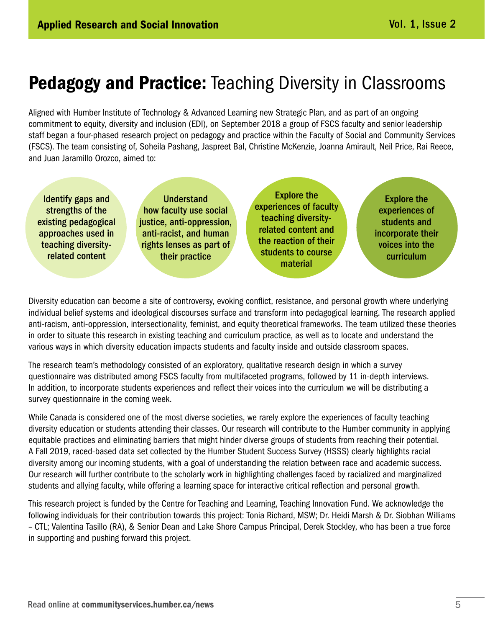Aligned with Humber Institute of Technology & Advanced Learning new Strategic Plan, and as part of an ongoing commitment to equity, diversity and inclusion (EDI), on September 2018 a group of FSCS faculty and senior leadership staff began a four-phased research project on pedagogy and practice within the Faculty of Social and Community Services (FSCS). The team consisting of, Soheila Pashang, Jaspreet Bal, Christine McKenzie, Joanna Amirault, Neil Price, Rai Reece, and Juan Jaramillo Orozco, aimed to:



Diversity education can become a site of controversy, evoking conflict, resistance, and personal growth where underlying individual belief systems and ideological discourses surface and transform into pedagogical learning. The research applied anti-racism, anti-oppression, intersectionality, feminist, and equity theoretical frameworks. The team utilized these theories in order to situate this research in existing teaching and curriculum practice, as well as to locate and understand the various ways in which diversity education impacts students and faculty inside and outside classroom spaces.

The research team's methodology consisted of an exploratory, qualitative research design in which a survey questionnaire was distributed among FSCS faculty from multifaceted programs, followed by 11 in-depth interviews. In addition, to incorporate students experiences and reflect their voices into the curriculum we will be distributing a survey questionnaire in the coming week.

While Canada is considered one of the most diverse societies, we rarely explore the experiences of faculty teaching diversity education or students attending their classes. Our research will contribute to the Humber community in applying equitable practices and eliminating barriers that might hinder diverse groups of students from reaching their potential. A Fall 2019, raced-based data set collected by the Humber Student Success Survey (HSSS) clearly highlights racial diversity among our incoming students, with a goal of understanding the relation between race and academic success. Our research will further contribute to the scholarly work in highlighting challenges faced by racialized and marginalized students and allying faculty, while offering a learning space for interactive critical reflection and personal growth.

This research project is funded by the Centre for Teaching and Learning, Teaching Innovation Fund. We acknowledge the following individuals for their contribution towards this project: Tonia Richard, MSW; Dr. Heidi Marsh & Dr. Siobhan Williams – CTL; Valentina Tasillo (RA), & Senior Dean and Lake Shore Campus Principal, Derek Stockley, who has been a true force in supporting and pushing forward this project.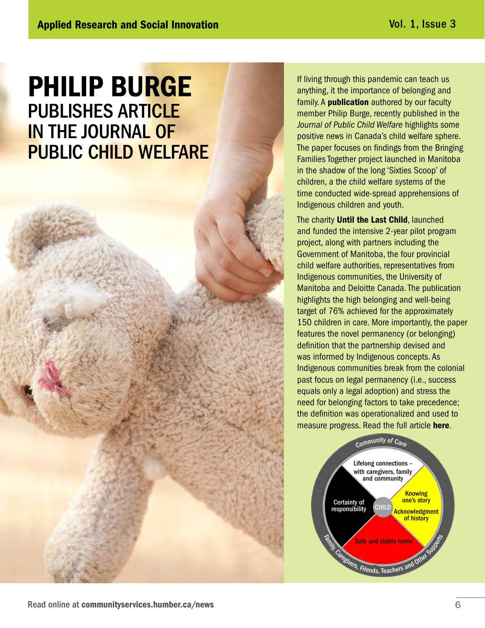## PHILIP BURGE PUBLISHES ARTICLE IN THE JOURNAL OF PUBLIC CHILD WELFARE

If living through this pandemic can teach us anything, it the importance of belonging and family. A **[publication](https://www.tandfonline.com/doi/full/10.1080/15548732.2020.1835784)** authored by our faculty member Philip Burge, recently published in the *Journal of Public Child Welfare* highlights some positive news in Canada's child welfare sphere. The paper focuses on findings from the Bringing Families Together project launched in Manitoba in the shadow of the long 'Sixties Scoop' of children, a the child welfare systems of the time conducted wide-spread apprehensions of Indigenous children and youth.

The charity **[Until the Last Child](https://untilthelastchild.com/)**, launched and funded the intensive 2-year pilot program project, along with partners including the Government of Manitoba, the four provincial child welfare authorities, representatives from Indigenous communities, the University of Manitoba and Deloitte Canada. The publication highlights the high belonging and well-being target of 76% achieved for the approximately 150 children in care. More importantly, the paper features the novel permanency (or belonging) definition that the partnership devised and was informed by Indigenous concepts. As Indigenous communities break from the colonial past focus on legal permanency (i.e., success equals only a legal adoption) and stress the need for belonging factors to take precedence; the definition was operationalized and used to measure progress. Read the full article [here](https://www.tandfonline.com/doi/full/10.1080/15548732.2020.1835784).

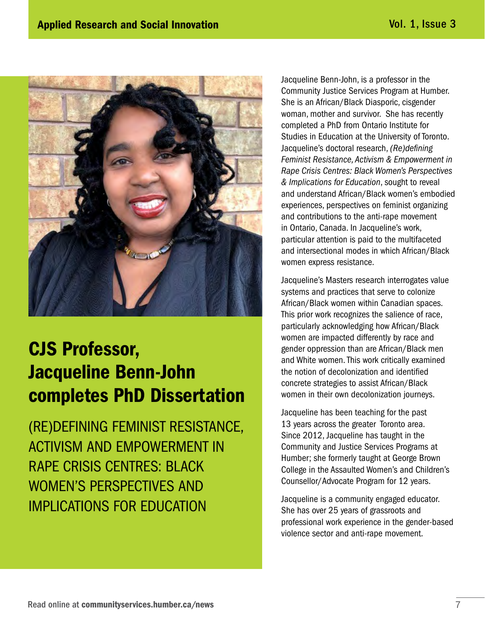

## CJS Professor, Jacqueline Benn-John completes PhD Dissertation

(RE)DEFINING FEMINIST RESISTANCE, ACTIVISM AND EMPOWERMENT IN RAPE CRISIS CENTRES: BLACK WOMEN'S PERSPECTIVES AND IMPLICATIONS FOR EDUCATION

Jacqueline Benn-John, is a professor in the Community Justice Services Program at Humber. She is an African/Black Diasporic, cisgender woman, mother and survivor. She has recently completed a PhD from Ontario Institute for Studies in Education at the University of Toronto. Jacqueline's doctoral research, *(Re)defining Feminist Resistance, Activism & Empowerment in Rape Crisis Centres: Black Women's Perspectives & Implications for Education*, sought to reveal and understand African/Black women's embodied experiences, perspectives on feminist organizing and contributions to the anti-rape movement in Ontario, Canada. In Jacqueline's work, particular attention is paid to the multifaceted and intersectional modes in which African/Black women express resistance.

Jacqueline's Masters research interrogates value systems and practices that serve to colonize African/Black women within Canadian spaces. This prior work recognizes the salience of race, particularly acknowledging how African/Black women are impacted differently by race and gender oppression than are African/Black men and White women. This work critically examined the notion of decolonization and identified concrete strategies to assist African/Black women in their own decolonization journeys.

Jacqueline has been teaching for the past 13 years across the greater Toronto area. Since 2012, Jacqueline has taught in the Community and Justice Services Programs at Humber; she formerly taught at George Brown College in the Assaulted Women's and Children's Counsellor/Advocate Program for 12 years.

Jacqueline is a community engaged educator. She has over 25 years of grassroots and professional work experience in the gender-based violence sector and anti-rape movement.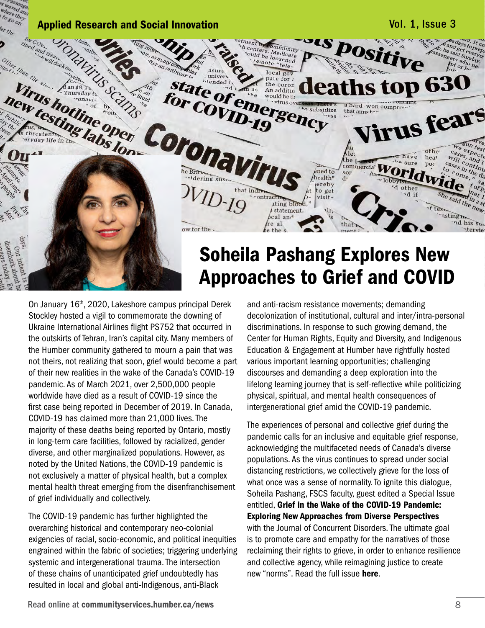

## Soheila Pashang Explores New Approaches to Grief and COVID

On January 16th, 2020, Lakeshore campus principal Derek Stockley hosted a vigil to commemorate the downing of Ukraine International Airlines flight PS752 that occurred in the outskirts of Tehran, Iran's capital city. Many members of the Humber community gathered to mourn a pain that was not theirs, not realizing that soon, grief would become a part of their new realities in the wake of the Canada's COVID-19 pandemic. As of March 2021, over 2,500,000 people worldwide have died as a result of COVID-19 since the first case being reported in December of 2019. In Canada, COVID-19 has claimed more than 21,000 lives. The majority of these deaths being reported by Ontario, mostly in long-term care facilities, followed by racialized, gender diverse, and other marginalized populations. However, as noted by the United Nations, the COVID-19 pandemic is not exclusively a matter of physical health, but a complex mental health threat emerging from the disenfranchisement of grief individually and collectively.

The COVID-19 pandemic has further highlighted the overarching historical and contemporary neo-colonial exigencies of racial, socio-economic, and political inequities engrained within the fabric of societies; triggering underlying systemic and intergenerational trauma. The intersection of these chains of unanticipated grief undoubtedly has resulted in local and global anti-Indigenous, anti-Black

and anti-racism resistance movements; demanding decolonization of institutional, cultural and inter/intra-personal discriminations. In response to such growing demand, the Center for Human Rights, Equity and Diversity, and Indigenous Education & Engagement at Humber have rightfully hosted various important learning opportunities; challenging discourses and demanding a deep exploration into the lifelong learning journey that is self-reflective while politicizing physical, spiritual, and mental health consequences of intergenerational grief amid the COVID-19 pandemic.

The experiences of personal and collective grief during the pandemic calls for an inclusive and equitable grief response, acknowledging the multifaceted needs of Canada's diverse populations. As the virus continues to spread under social distancing restrictions, we collectively grieve for the loss of what once was a sense of normality. To ignite this dialogue, Soheila Pashang, FSCS faculty, guest edited a Special Issue entitled, [Grief in the Wake of the COVID-19 Pandemic:](https://concurrentdisorders.ca/2020/12/15/volume-two-issue-three/)  [Exploring New Approaches from Diverse Perspectives](https://concurrentdisorders.ca/2020/12/15/volume-two-issue-three/) with the Journal of Concurrent Disorders. The ultimate goal is to promote care and empathy for the narratives of those reclaiming their rights to grieve, in order to enhance resilience and collective agency, while reimagining justice to create new "norms". Read the full issue [here](https://concurrentdisorders.ca/2020/12/15/volume-two-issue-three/).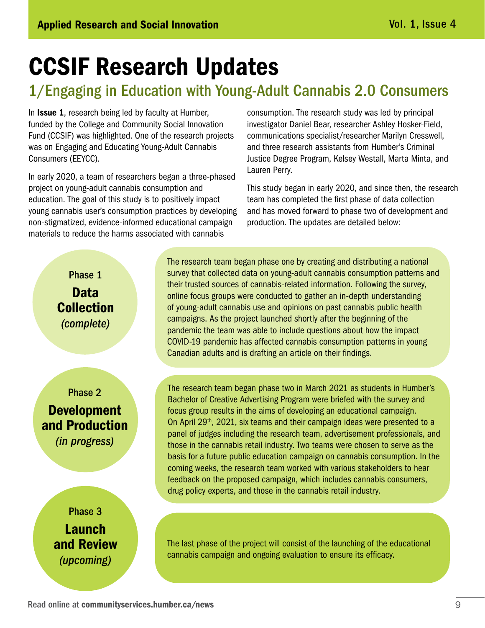## CCSIF Research Updates

## 1/Engaging in Education with Young-Adult Cannabis 2.0 Consumers

In **[Issue 1](https://humber.ca/staff/sites/default/files/sub-attachments/SOC%26COM%20Magazine%20-%20Vol%201.pdf)**, research being led by faculty at Humber, funded by the College and Community Social Innovation Fund (CCSIF) was highlighted. One of the research projects was on Engaging and Educating Young-Adult Cannabis Consumers (EEYCC).

In early 2020, a team of researchers began a three-phased project on young-adult cannabis consumption and education. The goal of this study is to positively impact young cannabis user's consumption practices by developing non-stigmatized, evidence-informed educational campaign materials to reduce the harms associated with cannabis

consumption. The research study was led by principal investigator Daniel Bear, researcher Ashley Hosker-Field, communications specialist/researcher Marilyn Cresswell, and three research assistants from Humber's Criminal Justice Degree Program, Kelsey Westall, Marta Minta, and Lauren Perry.

This study began in early 2020, and since then, the research team has completed the first phase of data collection and has moved forward to phase two of development and production. The updates are detailed below:

Phase 1 Data Collection *(complete)*

Phase 2 Development and Production *(in progress)*

> Phase 3 Launch and Review *(upcoming)*

The research team began phase one by creating and distributing a national survey that collected data on young-adult cannabis consumption patterns and their trusted sources of cannabis-related information. Following the survey, online focus groups were conducted to gather an in-depth understanding of young-adult cannabis use and opinions on past cannabis public health campaigns. As the project launched shortly after the beginning of the pandemic the team was able to include questions about how the impact COVID-19 pandemic has affected cannabis consumption patterns in young Canadian adults and is drafting an article on their findings.

The research team began phase two in March 2021 as students in Humber's Bachelor of Creative Advertising Program were briefed with the survey and focus group results in the aims of developing an educational campaign. On April 29<sup>th</sup>, 2021, six teams and their campaign ideas were presented to a panel of judges including the research team, advertisement professionals, and those in the cannabis retail industry. Two teams were chosen to serve as the basis for a future public education campaign on cannabis consumption. In the coming weeks, the research team worked with various stakeholders to hear feedback on the proposed campaign, which includes cannabis consumers, drug policy experts, and those in the cannabis retail industry.

The last phase of the project will consist of the launching of the educational cannabis campaign and ongoing evaluation to ensure its efficacy.